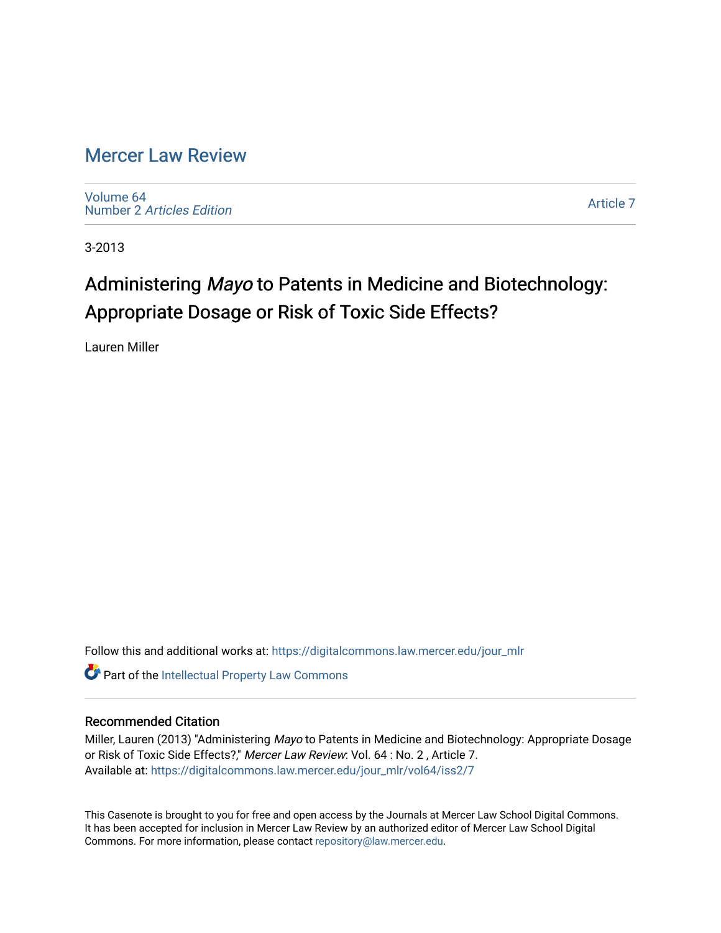## [Mercer Law Review](https://digitalcommons.law.mercer.edu/jour_mlr)

[Volume 64](https://digitalcommons.law.mercer.edu/jour_mlr/vol64) Number 2 [Articles Edition](https://digitalcommons.law.mercer.edu/jour_mlr/vol64/iss2) 

[Article 7](https://digitalcommons.law.mercer.edu/jour_mlr/vol64/iss2/7) 

3-2013

# Administering Mayo to Patents in Medicine and Biotechnology: Appropriate Dosage or Risk of Toxic Side Effects?

Lauren Miller

Follow this and additional works at: [https://digitalcommons.law.mercer.edu/jour\\_mlr](https://digitalcommons.law.mercer.edu/jour_mlr?utm_source=digitalcommons.law.mercer.edu%2Fjour_mlr%2Fvol64%2Fiss2%2F7&utm_medium=PDF&utm_campaign=PDFCoverPages)

**C** Part of the Intellectual Property Law Commons

### Recommended Citation

Miller, Lauren (2013) "Administering Mayo to Patents in Medicine and Biotechnology: Appropriate Dosage or Risk of Toxic Side Effects?," Mercer Law Review: Vol. 64 : No. 2 , Article 7. Available at: [https://digitalcommons.law.mercer.edu/jour\\_mlr/vol64/iss2/7](https://digitalcommons.law.mercer.edu/jour_mlr/vol64/iss2/7?utm_source=digitalcommons.law.mercer.edu%2Fjour_mlr%2Fvol64%2Fiss2%2F7&utm_medium=PDF&utm_campaign=PDFCoverPages)

This Casenote is brought to you for free and open access by the Journals at Mercer Law School Digital Commons. It has been accepted for inclusion in Mercer Law Review by an authorized editor of Mercer Law School Digital Commons. For more information, please contact [repository@law.mercer.edu.](mailto:repository@law.mercer.edu)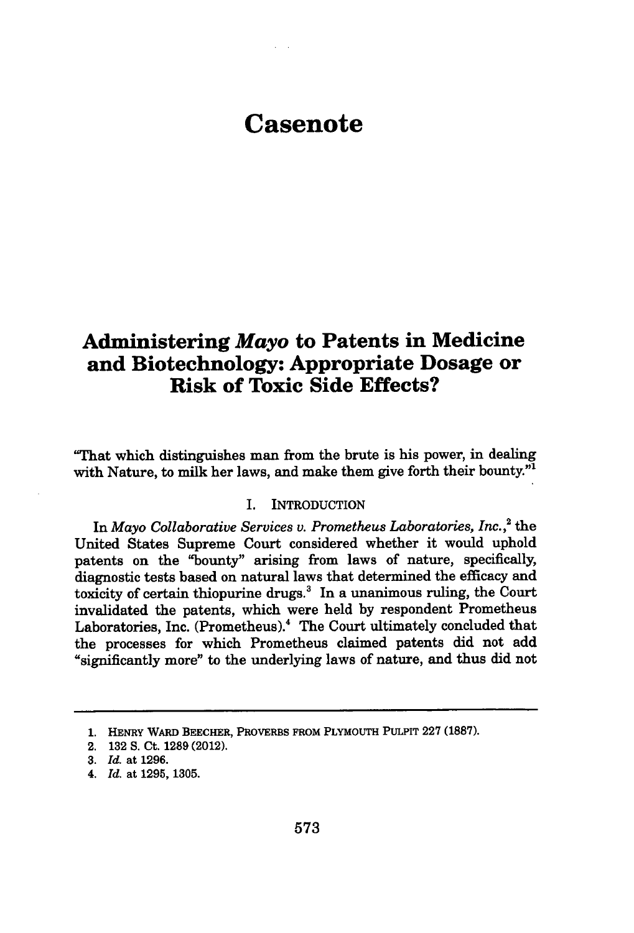## **Casenote**

## **Administering** *Mayo* **to Patents in Medicine and Biotechnology: Appropriate Dosage or Risk of Toxic Side Effects?**

"That which distinguishes man from the brute is his power, in dealing with Nature, to milk her laws, and make them give forth their bounty."<sup>1</sup>

#### I. INTRODUCTION

In *Mayo Collaborative Services v. Prometheus Laboratories, Inc.*<sup>2</sup> the United States Supreme Court considered whether it would uphold patents on the "bounty" arising from laws of nature, specifically, diagnostic tests based on natural laws that determined the efficacy and toxicity of certain thiopurine drugs. $3$  In a unanimous ruling, the Court invalidated the patents, which were held by respondent Prometheus Laboratories, Inc. (Prometheus).<sup>4</sup> The Court ultimately concluded that the processes for which Prometheus claimed patents did not add "significantly more" to the underlying laws of nature, and thus did not

**<sup>1.</sup>** HENRY WARD BEECHER, PROVERBS FROM PLYMOUTH PULPIT **227 (1887).**

<sup>2.</sup> **132 S.** Ct. **1289** (2012).

**<sup>3.</sup>** *Id.* at **1296.**

*<sup>4.</sup> Id.* at **1295, 1305.**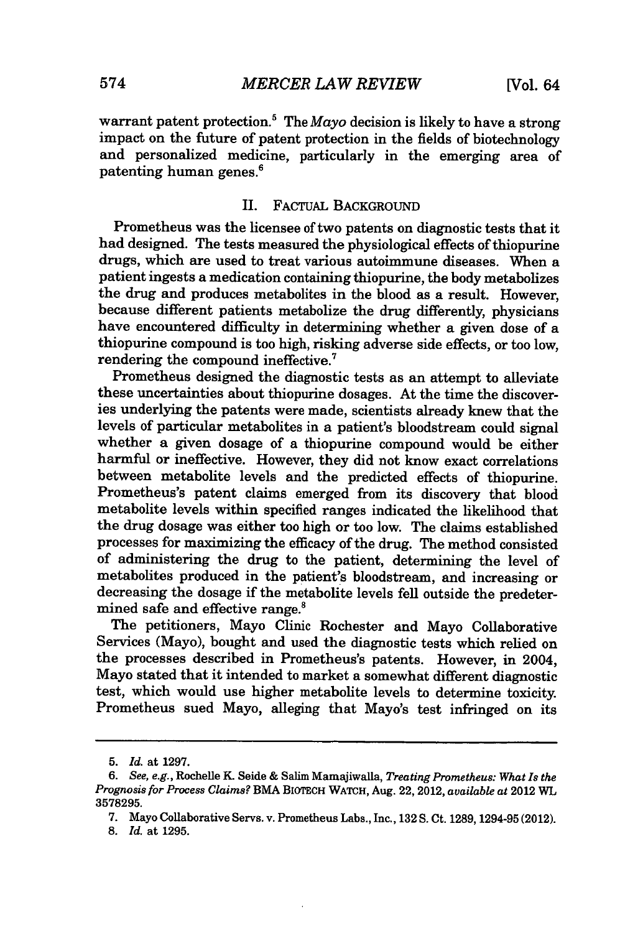warrant patent protection.5 The *Mayo* decision is likely to have a strong impact on the future of patent protection in the fields of biotechnology and personalized medicine, particularly in the emerging area of patenting human genes.'

#### II. FACTUAL BACKGROUND

Prometheus was the licensee of two patents on diagnostic tests that it had designed. The tests measured the physiological effects of thiopurine drugs, which are used to treat various autoimmune diseases. When a patient ingests a medication containing thiopurine, the body metabolizes the drug and produces metabolites in the blood as a result. However, because different patients metabolize the drug differently, physicians have encountered difficulty in determining whether a given dose of a thiopurine compound is too high, risking adverse side effects, or too low, rendering the compound ineffective.'

Prometheus designed the diagnostic tests as an attempt to alleviate these uncertainties about thiopurine dosages. At the time the discoveries underlying the patents were made, scientists already knew that the levels of particular metabolites in a patient's bloodstream could signal whether a given dosage of a thiopurine compound would be either harmful or ineffective. However, they did not know exact correlations between metabolite levels and the predicted effects of thiopurine. Prometheus's patent claims emerged from its discovery that blood metabolite levels within specified ranges indicated the likelihood that the drug dosage was either too high or too low. The claims established processes for maximizing the efficacy of the drug. The method consisted of administering the drug to the patient, determining the level of metabolites produced in the patient's bloodstream, and increasing or decreasing the dosage if the metabolite levels fell outside the predetermined safe and effective range.<sup>8</sup>

The petitioners, Mayo Clinic Rochester and Mayo Collaborative Services (Mayo), bought and used the diagnostic tests which relied on the processes described in Prometheus's patents. However, in 2004, Mayo stated that it intended to market a somewhat different diagnostic test, which would use higher metabolite levels to determine toxicity. Prometheus sued Mayo, alleging that Mayo's test infringed on its

8. *Id.* at 1295.

*<sup>5.</sup> Id.* at 1297.

*<sup>6.</sup> See, e.g.,* Rochelle K. Seide & Salim Mamajiwalla, *Treating Prometheus: What Is the Prognosis for Process Claims?* BMA BIOTECH WATCH, Aug. 22, 2012, *available at* 2012 WL 3578295.

<sup>7.</sup> Mayo Collaborative Servs. v. Prometheus Labs., Inc., 132 **S.** Ct. 1289, 1294-95 (2012).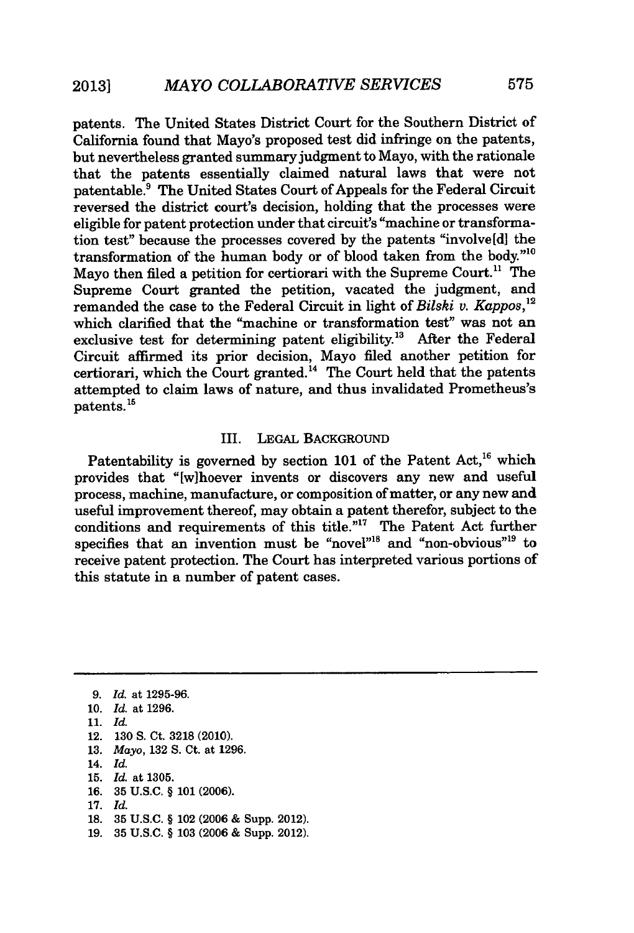patents. The United States District Court for the Southern District of California found that Mayo's proposed test did infringe on the patents, but nevertheless granted summary judgment to Mayo, with the rationale that the patents essentially claimed natural laws that were not patentable.9 The United States Court of Appeals for the Federal Circuit reversed the district court's decision, holding that the processes were eligible for patent protection under that circuit's "machine or transformation test" because the processes covered by the patents "involve[d] the transformation of the human body or of blood taken from the body."1 Mayo then filed a petition for certiorari with the Supreme Court.<sup>11</sup> The Supreme Court granted the petition, vacated the judgment, and remanded the case to the Federal Circuit in light of *Bilski v. Kappos,"2* which clarified that the "machine or transformation test" was not an exclusive test for determining patent eligibility.<sup>13</sup> After the Federal Circuit affirmed its prior decision, Mayo filed another petition for certiorari, which the Court granted.<sup>14</sup> The Court held that the patents attempted to claim laws of nature, and thus invalidated Prometheus's  $_{\rm{patterns.}}^{15}$ 

#### III. LEGAL BACKGROUND

Patentability is governed by section 101 of the Patent Act,<sup>16</sup> which provides that "[wihoever invents or discovers any new and useful process, machine, manufacture, or composition of matter, or any new and useful improvement thereof, may obtain a patent therefor, subject to the conditions and requirements of this title."<sup>17</sup> The Patent Act further specifies that an invention must be "novel"<sup>18</sup> and "non-obvious"<sup>19</sup> to receive patent protection. The Court has interpreted various portions of this statute in a number of patent cases.

- 10. *Id.* at 1296.
- **11.** *Id.*
- 12. 130 S. Ct. 3218 (2010).
- 13. *Mayo,* 132 **S.** Ct. at 1296.
- 14. *Id.*
- 15. *Id.* at 1305.
- 16. 35 U.S.C. § 101 (2006).
- **17.** *Id.*
- 18. 35 U.S.C. § 102 (2006 & Supp. 2012).
- 19. 35 U.S.C. § 103 (2006 & Supp. 2012).

*<sup>9.</sup> Id.* at 1295-96.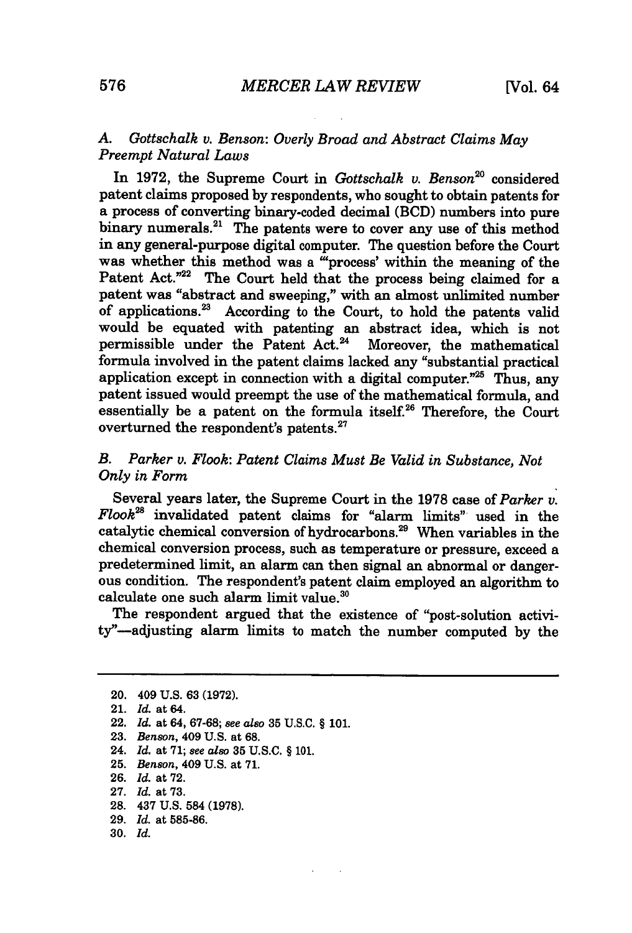### *A. Gottschalk v. Benson: Overly Broad and Abstract Claims May Preempt Natural Laws*

In 1972, the Supreme Court in *Gottschalk v. Benson"°* considered patent claims proposed by respondents, who sought to obtain patents for a process of converting binary-coded decimal (BCD) numbers into pure binary numerals.<sup>21</sup> The patents were to cover any use of this method in any general-purpose digital computer. The question before the Court was whether this method was a "process' within the meaning of the Patent Act."<sup>22</sup> The Court held that the process being claimed for a patent was "abstract and sweeping," with an almost unlimited number of applications.23 According to the Court, to hold the patents valid would be equated with patenting an abstract idea, which is not permissible under the Patent Act.<sup>24</sup> Moreover, the mathematical formula involved in the patent claims lacked any "substantial practical application except in connection with a digital computer. $25$  Thus, any patent issued would preempt the use of the mathematical formula, and essentially be a patent on the formula itself.<sup>26</sup> Therefore, the Court overturned the respondent's patents.<sup>27</sup>

#### *B. Parker v. Flook: Patent Claims Must Be Valid in Substance, Not Only in Form*

Several years later, the Supreme Court in the 1978 case of *Parker v. Flook*<sup>28</sup> invalidated patent claims for "alarm limits" used in the catalytic chemical conversion of hydrocarbons.<sup>29</sup> When variables in the chemical conversion process, such as temperature or pressure, exceed a predetermined limit, an alarm can then signal an abnormal or dangerous condition. The respondent's patent claim employed an algorithm to calculate one such alarm limit value. $30$ 

The respondent argued that the existence of "post-solution activity"-adjusting alarm limits to match the number computed by the

- 23. *Benson,* 409 U.S. at 68.
- 24. *Id.* at **71;** *see also* **35** U.S.C. § 101.
- 25. *Benson,* 409 U.S. at 71.
- 26. *Id.* at 72.
- 27. *Id.* at **73.**
- **28.** 437 **U.S.** 584 **(1978).**
- **29.** *Id.* at **585-86.**
- **30.** *Id.*

<sup>20. 409</sup> U.S. 63 (1972).

<sup>21.</sup> *Id. at* 64.

<sup>22.</sup> *Id.* at 64, 67-68; *see also* **35** U.S.C. § 101.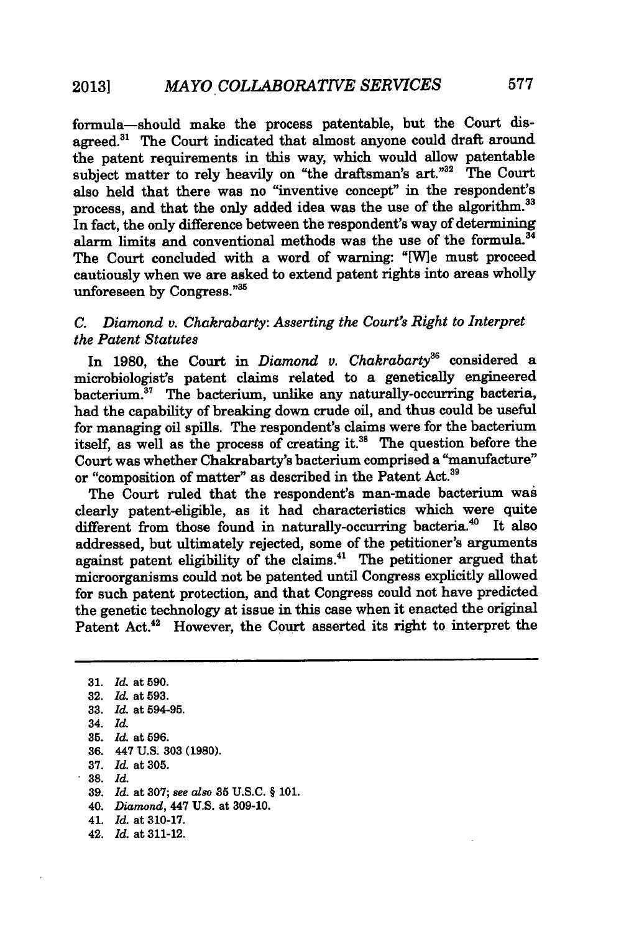formula-should make the process patentable, but the Court disagreed.<sup>31</sup> The Court indicated that almost anyone could draft around the patent requirements in this way, which would allow patentable subject matter to rely heavily on "the draftsman's art."<sup>32</sup> The Court also held that there was no "inventive concept" in the respondent's process, and that the only added idea was the use of the algorithm.<sup>33</sup> In fact, the only difference between the respondent's way of determining alarm limits and conventional methods was the use of the formula.<sup>34</sup> The Court concluded with a word of warning: "[Wle must proceed cautiously when we are asked to extend patent rights into areas wholly unforeseen **by** Congress. "

### *C. Diamond v. Chakrabarty: Asserting the Court's Right to Interpret the Patent Statutes*

In 1980, the Court in *Diamond v. Chakrabarty*<sup>36</sup> considered a microbiologist's patent claims related to a genetically engineered  $\frac{1}{2}$  bacterium. The bacterium, unlike any naturally-occurring bacteria, had the capability of breaking down crude oil, and thus could be useful for managing oil spills. The respondent's claims were for the bacterium itself, as well as the process of creating it.<sup>38</sup> The question before the Court was whether Chakrabarty's bacterium comprised a "manufacture" or "composition of matter" as described in the Patent Act.<sup>39</sup>

The Court ruled that the respondent's man-made bacterium was clearly patent-eligible, as it had characteristics which were quite different from those found in naturally-occurring bacteria.<sup>40</sup> It also addressed, but ultimately rejected, some of the petitioner's arguments against patent eligibility of the claims.4' The petitioner argued that microorganisms could not be patented until Congress explicitly allowed for such patent protection, and that Congress could not have predicted the genetic technology at issue in this case when it enacted the original Patent Act.<sup>42</sup> However, the Court asserted its right to interpret the

**<sup>31.</sup>** *Id.* at **590. 32.** *Id.* at **593. 33.** *Id.* at **594-95.** 34. *Id.* **35.** *Id.* at **596. 36.** 447 **U.S. 303 (1980). 37.** *Id.* at **305. 38.** *Id.* **39.** *Id.* at **307;** see also **35 U.S.C.** § **101.** 40. *Diamond,* 447 **U.S.** at **309-10.** 41. *Id.* at **310-17.** 42. *Id.* at **311-12.**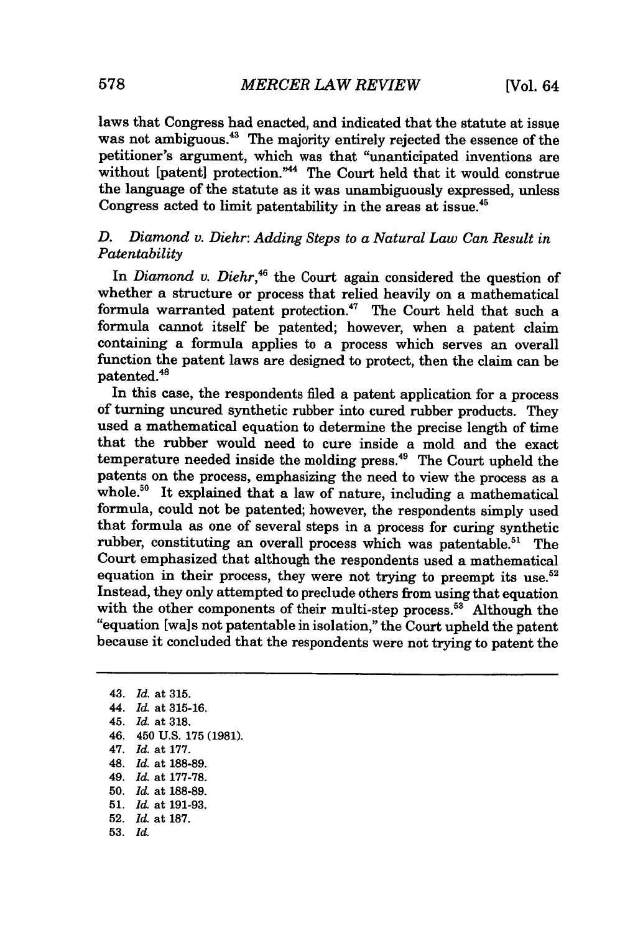laws that Congress had enacted, and indicated that the statute at issue was not ambiguous.<sup>43</sup> The majority entirely rejected the essence of the petitioner's argument, which was that "unanticipated inventions are without [patent] protection."<sup>44</sup> The Court held that it would construe the language of the statute as it was unambiguously expressed, unless Congress acted to limit patentability in the areas at issue.<sup>45</sup>

### *D. Diamond v. Diehr: Adding Steps to a Natural Law Can Result in Patentability*

In *Diamond v. Diehr*,<sup>46</sup> the Court again considered the question of whether a structure or process that relied heavily on a mathematical formula warranted patent protection.<sup>47</sup> The Court held that such a formula cannot itself be patented; however, when a patent claim containing a formula applies to a process which serves an overall function the patent laws are designed to protect, then the claim can be patented.<sup>48</sup>

In this case, the respondents filed a patent application for a process of turning uncured synthetic rubber into cured rubber products. They used a mathematical equation to determine the precise length of time that the rubber would need to cure inside a mold and the exact temperature needed inside the molding press.49 The Court upheld the patents on the process, emphasizing the need to view the process as a whole.<sup>50</sup> It explained that a law of nature, including a mathematical formula, could not be patented; however, the respondents simply used that formula as one of several steps in a process for curing synthetic rubber, constituting an overall process which was patentable.<sup>51</sup> The Court emphasized that although the respondents used a mathematical equation in their process, they were not trying to preempt its use.<sup>52</sup> Instead, they only attempted to preclude others from using that equation with the other components of their multi-step process.<sup>53</sup> Although the "equation [wals not patentable in isolation," the Court upheld the patent because it concluded that the respondents were not trying to patent the

43. *Id.* at 315. 44. *Id.* at 315-16. 45. *Id.* at 318. 46. 450 **U.S. 175 (1981).** 47. *Id.* at **177.** 48. *Id.* at **188-89.** 49. *Id.* at **177-78. 50.** *Id.* at **188-89. 51.** *Id.* at **191-93. 52.** *Id.* at **187. 53.** *Id.*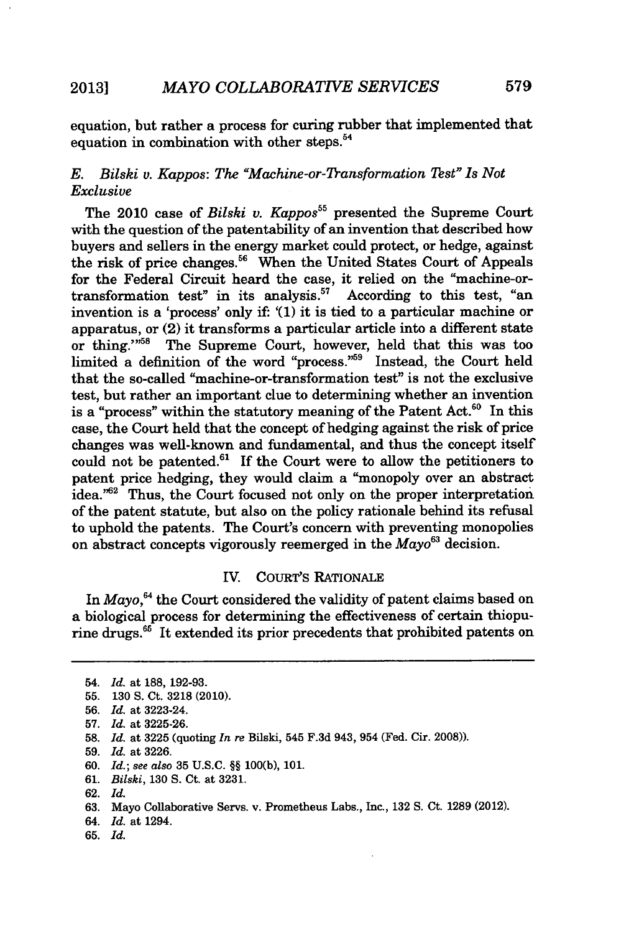equation, but rather a process for curing rubber that implemented that equation in combination with other steps.<sup>54</sup>

## *E. Bilski v. Kappos: The "Machine-or-Transformation Test" Is Not Exclusive*

The 2010 case of *Bilski v. Kappos*<sup>55</sup> presented the Supreme Court with the question of the patentability of an invention that described how buyers and sellers in the energy market could protect, or hedge, against the risk of price changes.<sup>56</sup> When the United States Court of Appeals for the Federal Circuit heard the case, it relied on the "machine-ortransformation test" in its analysis.<sup>57</sup> According to this test, "an invention is a 'process' only if: '(1) it is tied to a particular machine or apparatus, or (2) it transforms a particular article into a different state or thing."<sup>58</sup> The Supreme Court, however, held that this was too limited a definition of the word "process."<sup>59</sup> Instead, the Court held that the so-called "machine-or-transformation test" is not the exclusive test, but rather an important clue to determining whether an invention is a "process" within the statutory meaning of the Patent Act.<sup>60</sup> In this case, the Court held that the concept of hedging against the risk of price changes was well-known and fundamental, and thus the concept itself could not be patented.<sup>61</sup> If the Court were to allow the petitioners to patent price hedging, they would claim a "monopoly over an abstract idea."62 Thus, the Court focused not only on the proper interpretation of the patent statute, but also on the policy rationale behind its refusal to uphold the patents. The Court's concern with preventing monopolies on abstract concepts vigorously reemerged in the *Mayo*<sup>63</sup> decision.

#### IV. CouR's RATIONALE

In *Mayo*,<sup>64</sup> the Court considered the validity of patent claims based on a biological process for determining the effectiveness of certain thiopurine drugs.<sup>65</sup> It extended its prior precedents that prohibited patents on

- 60. *Id.;* see also 35 U.S.C. §§ 100(b), 101.
- 61. *Bilski,* 130 **S.** Ct. at 3231.
- 62. *Id.*
- 63. Mayo Collaborative Servs. v. Prometheus Labs., Inc., 132 S. Ct. 1289 (2012).
- 64. *Id.* at 1294.
- 65. *Id.*

<sup>54.</sup> *Id.* at 188, 192-93.

<sup>55. 130</sup> **S.** Ct. **3218** (2010).

<sup>56.</sup> *Id.* at 3223-24.

<sup>57.</sup> *Id.* at 3225-26.

**<sup>58.</sup>** *Id.* at 3225 (quoting *In re* Bilski, 545 F.3d 943, 954 (Fed. Cir. 2008)).

<sup>59.</sup> *Id.* at 3226.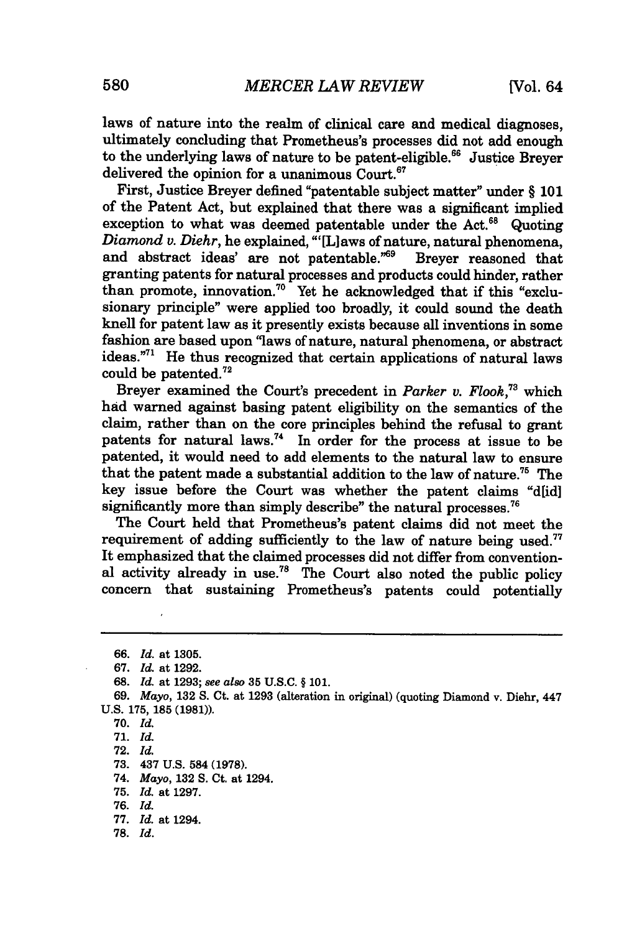laws of nature into the realm of clinical care and medical diagnoses, ultimately concluding that Prometheus's processes did not add enough to the underlying laws of nature to be patent-eligible.<sup>66</sup> Justice Brever delivered the opinion for a unanimous  $\text{Contr.}^{67}$ 

First, Justice Breyer defined "patentable subject matter" under § **101** of the Patent Act, but explained that there was a significant implied exception to what was deemed patentable under the Act. $68$  Quoting *Diamond v. Diehr,* he explained, "'[L]aws of nature, natural phenomena, and abstract ideas' are not patentable."<sup>69</sup> Brever reasoned that granting patents for natural processes and products could hinder, rather than promote, innovation.<sup>70</sup> Yet he acknowledged that if this "exclusionary principle" were applied too broadly, it could sound the death knell for patent law as it presently exists because all inventions in some fashion are based upon "laws of nature, natural phenomena, or abstract ideas."7' He thus recognized that certain applications of natural laws could be patented.72

Breyer examined the Court's precedent in *Parker v. Flook*,<sup>73</sup> which had warned against basing patent eligibility on the semantics of the claim, rather than on the core principles behind the refusal to grant patents for natural laws.<sup>74</sup> In order for the process at issue to be patented, it would need to add elements to the natural law to ensure that the patent made a substantial addition to the law of nature.<sup>75</sup> The key issue before the Court was whether the patent claims "dlidl" significantly more than simply describe" the natural processes.<sup>76</sup>

The Court held that Prometheus's patent claims did not meet the requirement of adding sufficiently to the law of nature being used.<sup>77</sup> It emphasized that the claimed processes did not differ from conventional activity already in use.<sup>78</sup> The Court also noted the public policy concern that sustaining Prometheus's patents could potentially

**72.** *Id.*

- **73.** 437 **U.S.** 584 **(1978).**
- 74. *Mayo,* **132 S.** Ct. at 1294.
- **75.** *Id.* at **1297.**

- **77.** *Id.* at 1294.
- **78.** *Id.*

*<sup>66.</sup> Id.* at 1305.

<sup>67.</sup> *Id.* at 1292.

**<sup>68.</sup>** *Id.* at 1293; see also 35 U.S.C. § 101.

*<sup>69.</sup> Mayo,* 132 **S.** Ct. at 1293 (alteration in original) (quoting Diamond v. Diehr, 447 **U.S. 175, 185 (1981)).**

**<sup>70.</sup>** *Id.*

**<sup>71.</sup>** *Id.*

**<sup>76.</sup>** *Id.*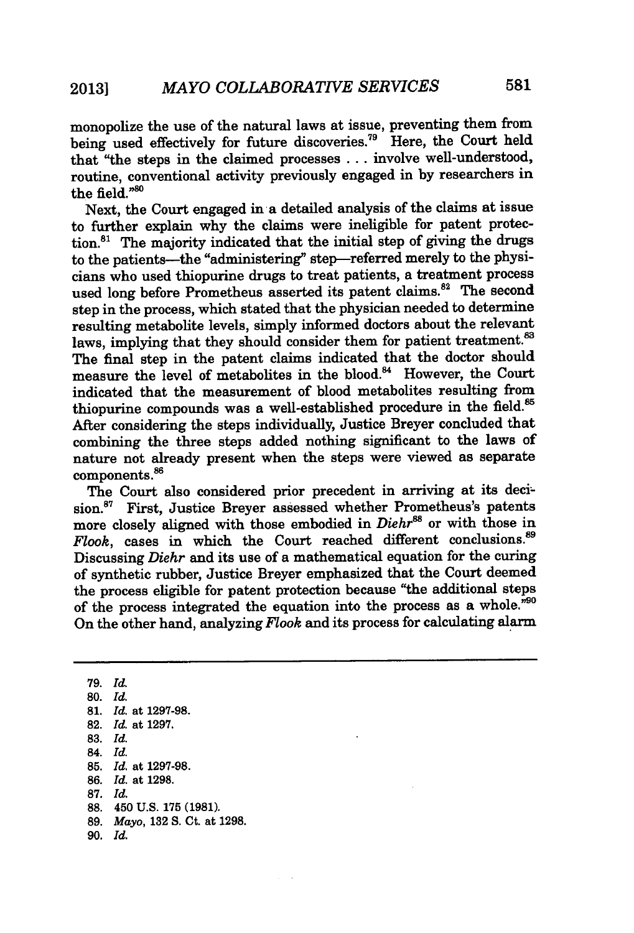monopolize the use of the natural laws at issue, preventing them from being used effectively for future discoveries.79 Here, the Court held that "the steps in the claimed processes ... involve well-understood, routine, conventional activity previously engaged in by researchers in the field. $^{980}$ 

Next, the Court engaged in a detailed analysis of the claims at issue to further explain why the claims were ineligible for patent protection. $81$  The majority indicated that the initial step of giving the drugs to the patients-the "administering" step-referred merely to the physicians who used thiopurine drugs to treat patients, a treatment process used long before Prometheus asserted its patent claims.<sup>82</sup> The second step in the process, which stated that the physician needed to determine resulting metabolite levels, simply informed doctors about the relevant laws, implying that they should consider them for patient treatment.<sup>83</sup> The final step in the patent claims indicated that the doctor should measure the level of metabolites in the blood.<sup>84</sup> However, the Court indicated that the measurement of blood metabolites resulting from thiopurine compounds was a well-established procedure in the field.' After considering the steps individually, Justice Breyer concluded that combining the three steps added nothing significant to the laws of nature not already present when the steps were viewed as separate components.<sup>86</sup>

The Court also considered prior precedent in arriving at its decision.<sup>87</sup> First, Justice Brever assessed whether Prometheus's patents more closely aligned with those embodied in *Diehr<sup>88</sup>* or with those in *Flook*, cases in which the Court reached different conclusions.<sup>89</sup> Discussing *Diehr* and its use of a mathematical equation for the curing of synthetic rubber, Justice Breyer emphasized that the Court deemed the process eligible for patent protection because "the additional steps of the process integrated the equation into the process as a whole."90 On the other hand, analyzing *Flook* and its process for calculating alarm

79. *Id.* **80.** *Id.* **81.** *Id.* at 1297-98. **82.** *Id.* at 1297. 83. *Id.* 84. *Id.* 85. *Id.* at 1297-98. 86. *Id.* at 1298. **87.** *Id.* **88.** 450 **U.S. 175 (1981). 89.** *Mayo,* **132 S.** Ct. at **1298.** 90. *Id.*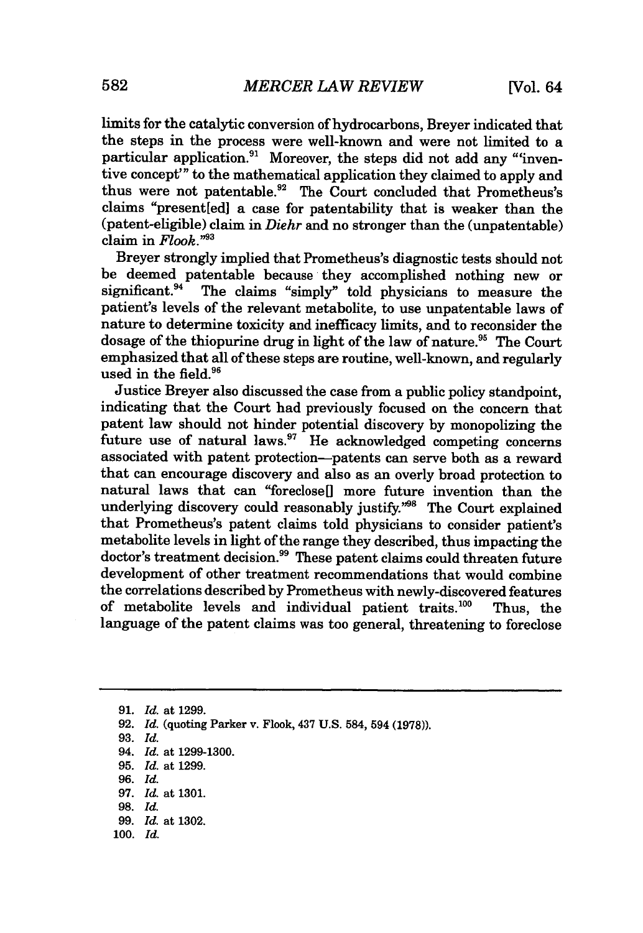limits for the catalytic conversion of hydrocarbons, Breyer indicated that the steps in the process were well-known and were not limited to a particular application.<sup>91</sup> Moreover, the steps did not add any "inventive concept'" to the mathematical application they claimed to apply and thus were not patentable.<sup>92</sup> The Court concluded that Prometheus's claims "present[ed] a case for patentability that is weaker than the (patent-eligible) claim in *Diehr* and no stronger than the (unpatentable) claim in *Flook."3*

Breyer strongly implied that Prometheus's diagnostic tests should not be deemed patentable because they accomplished nothing new or significant.<sup>94</sup> The claims "simply" told physicians to measure the patient's levels of the relevant metabolite, to use unpatentable laws of nature to determine toxicity and inefficacy limits, and to reconsider the dosage of the thiopurine drug in light of the law of nature.<sup>95</sup> The Court emphasized that all of these steps are routine, well-known, and regularly used in the field. $96$ 

Justice Breyer also discussed the case from a public policy standpoint, indicating that the Court had previously focused on the concern that patent law should not hinder potential discovery by monopolizing the future use of natural laws. $97$  He acknowledged competing concerns associated with patent protection-patents can serve both as a reward that can encourage discovery and also as an overly broad protection to natural laws that can "foreclose<sup>[]</sup> more future invention than the underlying discovery could reasonably justify."<sup>98</sup> The Court explained that Prometheus's patent claims told physicians to consider patient's metabolite levels in light of the range they described, thus impacting the doctor's treatment decision.<sup>99</sup> These patent claims could threaten future development of other treatment recommendations that would combine the correlations described by Prometheus with newly-discovered features of metabolite levels and individual patient traits.100 Thus, the language of the patent claims was too general, threatening to foreclose

**91.** *Id.* at 1299. 92. *Id.* (quoting Parker v. Flook, 437 U.S. 584, 594 (1978)). 93. *Id.* 94. *Id.* at 1299-1300. **95.** *Id.* at 1299. 96. *Id.* 97. *Id.* at 1301. 98. *Id.* 99. *Id.* at 1302. 100. *Id.*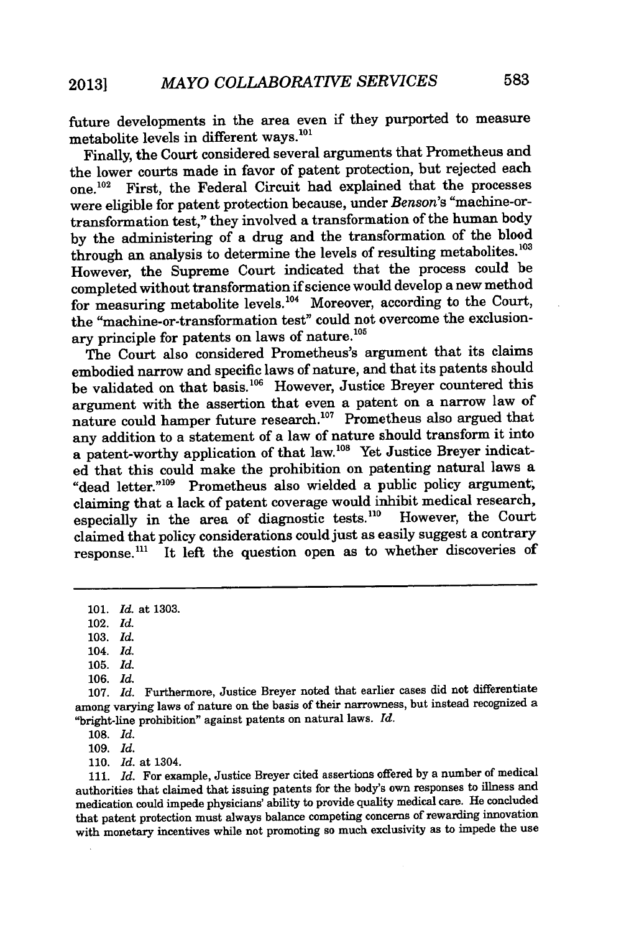future developments in the area even if they purported to measure metabolite levels in different ways.<sup>101</sup>

Finally, the Court considered several arguments that Prometheus and the lower courts made in favor of patent protection, but rejected each one.<sup>102</sup> First, the Federal Circuit had explained that the processes were eligible for patent protection because, under *Benson's* "machine-ortransformation test," they involved a transformation of the human body by the administering of a drug and the transformation of the blood through an analysis to determine the levels of resulting metabolites.<sup>103</sup> However, the Supreme Court indicated that the process could be completed without transformation if science would develop a new method for measuring metabolite levels.<sup>104</sup> Moreover, according to the Court, the "machine-or-transformation test" could not overcome the exclusionary principle for patents on laws of nature.<sup>105</sup>

The Court also considered Prometheus's argument that its claims embodied narrow and specific laws of nature, and that its patents should be validated on that basis.<sup>106</sup> However, Justice Breyer countered this argument with the assertion that even a patent on a narrow law of nature could hamper future research.<sup>107</sup> Prometheus also argued that any addition to a statement of a law of nature should transform it into a patent-worthy application of that law.<sup>108</sup> Yet Justice Breyer indicated that this could make the prohibition on patenting natural laws a "dead letter."<sup>109</sup> Prometheus also wielded a public policy argument; claiming that a lack of patent coverage would inhibit medical research, especially in the area of diagnostic tests.<sup>110</sup> However, the Court claimed that policy considerations could just as easily suggest a contrary response.<sup>111</sup> It left the question open as to whether discoveries of

109. *Id.*

**110.** *Id.* at 1304.

**111.** *Id.* For example, Justice Breyer cited assertions offered **by** a number of medical authorities that claimed that issuing patents for the body's own responses to illness and medication could impede physicians' ability to provide quality medical care. He concluded that patent protection must always balance competing concerns of rewarding innovation with monetary incentives while not promoting so much exclusivity as to impede the use

<sup>101.</sup> *Id.* at 1303.

<sup>102.</sup> *Id.*

<sup>103.</sup> *Id.*

<sup>104.</sup> *Id.*

<sup>105.</sup> *Id.*

<sup>106.</sup> *Id.*

**<sup>107.</sup>** *Id.* Furthermore, Justice Breyer noted that earlier cases did not differentiate among varying laws of nature on the basis of their narrowness, but instead recognized a "bright-line prohibition" against patents on natural laws. *rd.*

<sup>108.</sup> *Id.*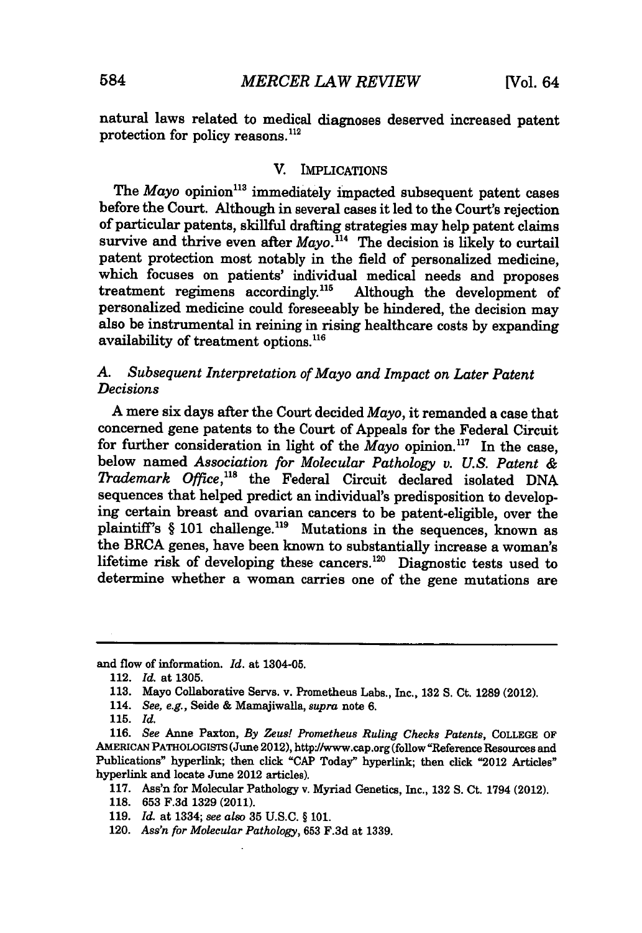natural laws related to medical diagnoses deserved increased patent protection for policy reasons. $^{112}$ 

#### V. IMPLICATIONS

The *Mayo* opinion<sup>113</sup> immediately impacted subsequent patent cases before the Court. Although in several cases it led to the Court's rejection of particular patents, skillful drafting strategies may help patent claims survive and thrive even after *Mayo*.<sup>114</sup> The decision is likely to curtail patent protection most notably in the field of personalized medicine, which focuses on patients' individual medical needs and proposes treatment regimens accordingly.<sup>115</sup> Although the development of personalized medicine could foreseeably be hindered, the decision may also be instrumental in reining in rising healthcare costs by expanding availability of treatment options.<sup>116</sup>

#### *A. Subsequent Interpretation of Mayo and Impact on Later Patent Decisions*

A mere six days after the Court decided *Mayo,* it remanded a case that concerned gene patents to the Court of Appeals for the Federal Circuit for further consideration in light of the *Mayo* opinion.<sup>117</sup> In the case, below named *Association for Molecular Pathology v. U.S. Patent & Trademark Office*,<sup>118</sup> the Federal Circuit declared isolated DNA sequences that helped predict an individual's predisposition to developing certain breast and ovarian cancers to be patent-eligible, over the plaintiff's § 101 challenge.<sup>119</sup> Mutations in the sequences, known as the BRCA genes, have been known to substantially increase a woman's lifetime risk of developing these cancers.<sup>120</sup> Diagnostic tests used to determine whether a woman carries one of the gene mutations are

and flow of information. *Id.* at 1304-05.

120. *Ass'n for Molecular Pathology,* 653 F.3d at 1339.

<sup>112.</sup> *Id.* at **1305.**

<sup>113.</sup> Mayo Collaborative Servs. v. Prometheus Labs., Inc., **132** S. Ct. 1289 (2012).

<sup>114.</sup> *See, e.g.,* Seide & Mamajiwalla, *supra* note 6.

**<sup>115.</sup>** *Id.*

**<sup>116.</sup>** *See* Anne Paxton, *By Zeus! Prometheus Ruling Checks Patents,* COLLEGE **Op** AMERICAN PATHOLOGISTS (June 2012), http://www.cap.org (follow "Reference Resources and Publications" hyperlink; then click **"CAP** Today" hyperlink; then click "2012 Articles" hyperlink and locate June 2012 articles).

**<sup>117.</sup>** Ass'n for Molecular Pathology v. Myriad Genetics, Inc., 132 S. Ct. 1794 (2012).

<sup>118. 653</sup> F.3d 1329 (2011).

<sup>119.</sup> *Id.* at 1334; *see also* 35 U.S.C. § 101.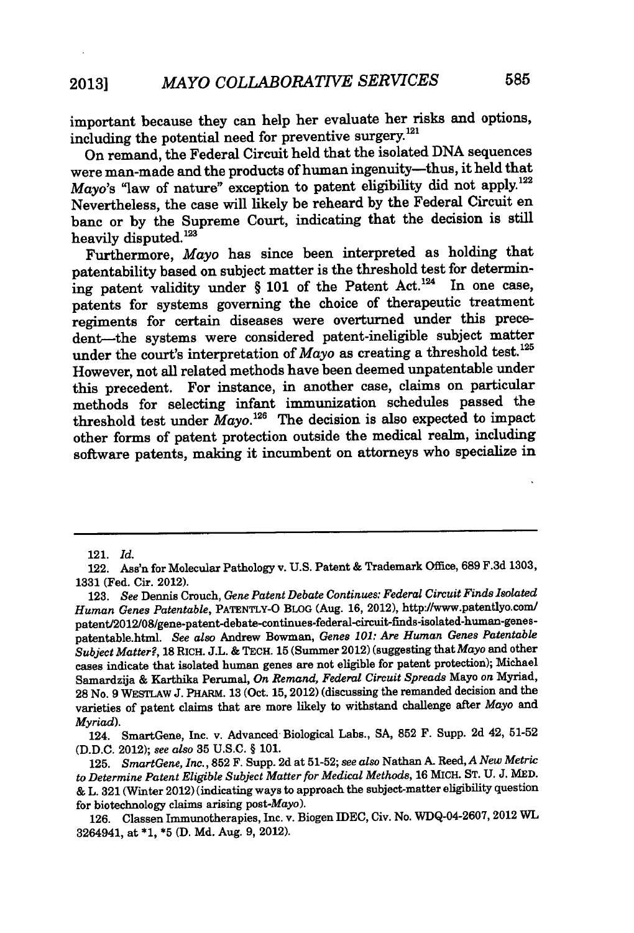important because they can help her evaluate her risks and options, including the potential need for preventive surgery. $^{121}$ 

On remand, the Federal Circuit held that the isolated DNA sequences were man-made and the products of human ingenuity-thus, it held that *Mayo's* "law of nature" exception to patent eligibility did not apply.<sup>122</sup> Nevertheless, the case will likely be reheard by the Federal Circuit en banc or by the Supreme Court, indicating that the decision is still heavily disputed.<sup>123</sup>

Furthermore, *Mayo* has since been interpreted as holding that patentability based on subject matter is the threshold test for determining patent validity under  $\S$  101 of the Patent Act.<sup>124</sup> In one case, patents for systems governing the choice of therapeutic treatment regiments for certain diseases were overturned under this precedent-the systems were considered patent-ineligible subject matter under the court's interpretation of *Mayo* as creating a threshold test.<sup>125</sup> However, not all related methods have been deemed unpatentable under this precedent. For instance, in another case, claims on particular methods for selecting infant immunization schedules passed the threshold test under  $\check{M}$ ayo.<sup>126</sup> The decision is also expected to impact other forms of patent protection outside the medical realm, including software patents, making it incumbent on attorneys who specialize in

<sup>121.</sup> *Id.*

<sup>122.</sup> Ass'n for Molecular Pathology v. U.S. Patent & Trademark Office, **689** F.3d **1303,** 1331 (Fed. Cir. 2012).

<sup>123.</sup> *See* Dennis Crouch, *Gene Patent Debate Continues: Federal Circuit Finds Isolated Human Genes Patentable,* PATENTLY-O BLOG (Aug. 16, 2012), http:/www.patentlyo.com/ patent/2012/08/gene-patent-debate-continues-federal-circuit-finds-isolated-human-genespatentable.html. *See also* Andrew Bowman, *Genes 101: Are Human Genes Patentable Subject Matter?,* 18 RICH. J.L. & TECH. 15 (Summer 2012) (suggesting that *Mayo* and other cases indicate that isolated human genes are not eligible for patent protection); Michael Samardzija & Karthika Perumal, *On Remand, Federal Circuit Spreads* Mayo *on* Myriad, 28 No. 9 WESTLAW J. PHARM. **13** (Oct. 15, 2012) (discussing the remanded decision and the varieties of patent claims that are more likely to withstand challenge after *Mayo* and *Myriad).*

<sup>124.</sup> SmartGene, Inc. v. Advanced Biological Labs., **SA, 852** F. Supp. 2d 42, **51-52** (D.D.C. 2012); *see also* **35** U.S.C. § 101.

<sup>125.</sup> *SmartGene, Inc.,* **852** F. Supp. 2d at 51-52; *see also* Nathan **A.** Reed, *A New Metric to Determine Patent Eligible Subject Matter for Medical Methods,* 16 MICH. ST. U. J. **MED.** & L. 321 (Winter 2012) (indicating ways to approach the subject-matter eligibility question for biotechnology claims arising *post-Mayo).*

<sup>126.</sup> Classen Immunotherapies, Inc. v. Biogen IDEC, Civ. No. WDQ-04-2607, 2012 WL 3264941, at \*1, \*5 (D. Md. Aug. 9, 2012).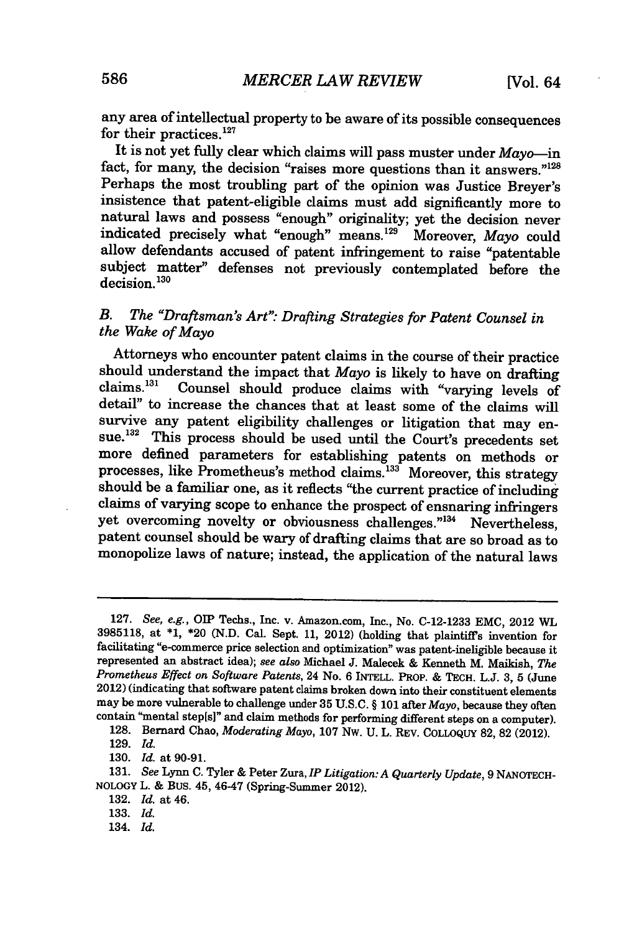any area of intellectual property to be aware of its possible consequences for their practices. $127$ 

It is not yet fully clear which claims will pass muster under *Mayo-in* fact, for many, the decision "raises more questions than it answers."<sup>128</sup> Perhaps the most troubling part of the opinion was Justice Breyer's insistence that patent-eligible claims must add significantly more to natural laws and possess "enough" originality; yet the decision never indicated precisely what "enough" means.<sup>129</sup> Moreover, Mayo could allow defendants accused of patent infringement to raise "patentable subject matter" defenses not previously contemplated before the  $\frac{130}{130}$ 

### *B. The "Draftsman's Art": Drafting Strategies for Patent Counsel in the Wake of Mayo*

Attorneys who encounter patent claims in the course of their practice should understand the impact that  $Mayo$  is likely to have on drafting claims.<sup>131</sup> Counsel should produce claims with "varying levels of Counsel should produce claims with "varying levels of detail" to increase the chances that at least some of the claims will survive any patent eligibility challenges or litigation that may ensue.<sup>132</sup> This process should be used until the Court's precedents set more defined parameters for establishing patents on methods or processes, like Prometheus's method claims.<sup>133</sup> Moreover, this strategy should be a familiar one, as it reflects "the current practice of including claims of varying scope to enhance the prospect of ensnaring infringers yet overcoming novelty or obviousness challenges. **"13 '** Nevertheless, patent counsel should be wary of drafting claims that are so broad as to monopolize laws of nature; instead, the application of the natural laws

**128.** Bernard Chao, *Moderating Mayo,* **107** Nw. U. L. REV. COLLOQUY 82, 82 (2012).

130. *Id.* at 90-91.

<sup>127.</sup> *See, e.g., OIP* Techs., Inc. v. Amazon.com, Inc., No. C-12-1233 **EMC,** 2012 WL 3985118, at \*1, \*20 (N.D. Cal. Sept. 11, 2012) (holding that plaintiffs invention for facilitating "e-commerce price selection and optimization" was patent-ineligible because it represented an abstract idea); *see also* Michael J. Malecek & Kenneth M. Maikish, *The Prometheus Effect on Software Patents,* 24 No. 6 **INTELL.** PROP. & **TECH.** L.J. 3, 5 (June 2012) (indicating that software patent claims broken down into their constituent elements may be more vulnerable to challenge under **35** U.S.C. § 101 after *Mayo,* because they often contain "mental step[s]" and claim methods for performing different steps on a computer).

<sup>129.</sup> *Id.*

<sup>131.</sup> *See* Lynn **C.** Tyler & Peter Zura, *IP Litigation: A Quarterly Update,* 9 **NANOTECH-NOLOGY** L. & Bus. 45, 46-47 (Spring-Summer 2012).

<sup>132.</sup> *Id.* at 46.

<sup>133.</sup> *Id.*

<sup>134.</sup> *Id.*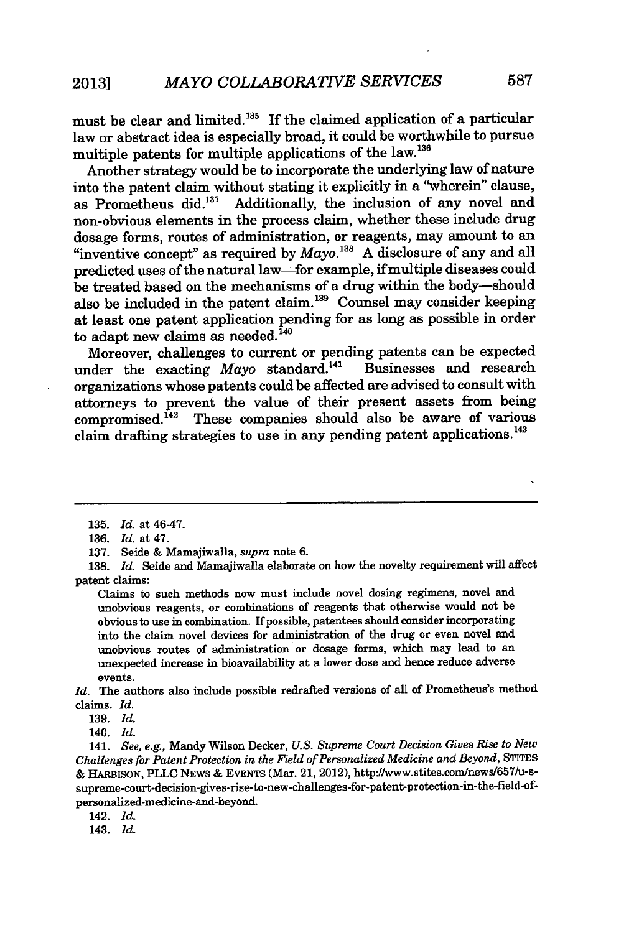must be clear and limited.<sup>135</sup> If the claimed application of a particular law or abstract idea is especially broad, it could be worthwhile to pursue multiple patents for multiple applications of the law.<sup>136</sup>

Another strategy would be to incorporate the underlying law of nature into the patent claim without stating it explicitly in a "wherein" clause, as Prometheus did.137 Additionally, the inclusion of any novel and non-obvious elements in the process claim, whether these include drug dosage forms, routes of administration, or reagents, may amount to an "inventive concept" as required by  $Mavo$ .<sup>138</sup> A disclosure of any and all predicted uses of the natural law-for example, if multiple diseases could be treated based on the mechanisms of a drug within the body-should also be included in the patent claim.<sup>139</sup> Counsel may consider keeping at least one patent application pending for as long as possible in order to adapt new claims as needed.<sup> $140$ </sup>

Moreover, challenges to current or pending patents can be expected<br>nder the exacting  $Mavo$  standard.<sup>141</sup> Businesses and research under the exacting *Mayo* standard.<sup>141</sup> organizations whose patents could be affected are advised to consult with attorneys to prevent the value of their present assets from being  $compism is  $d^{142}$  These companies should also be aware of various$ claim drafting strategies to use in any pending patent applications.<sup>143</sup>

138. *Id.* Seide and Mamajiwalla elaborate on how the novelty requirement will affect patent claims:

Claims to such methods now must include novel dosing regimens, novel and unobvious reagents, or combinations of reagents that otherwise would not be obvious to use in combination. If possible, patentees should consider incorporating into the claim novel devices for administration of the drug or even novel and unobvious routes of administration or dosage forms, which may lead to an unexpected increase in bioavailability at a lower dose and hence reduce adverse events.

*Id.* The authors also include possible redrafted versions of all of Prometheus's method claims. *Id.*

140. *Id.*

141. *See, e.g.,* Mandy Wilson Decker, *U.S. Supreme Court Decision Gives Rise to New Challenges for Patent Protection in the Field of Personalized Medicine and Beyond,* STITES & HARBISON, PLLC NEWS & EVENTS (Mar. 21, 2012), http://www.stites.com/news/657/u-ssupreme-court-decision-gives-rise-to-new-challenges-for-patent-protection-in-the-field-ofpersonalized-medicine-and-beyond.

142. *Id.*

143. *Id.*

<sup>135.</sup> *Id.* at 46-47.

<sup>136.</sup> *Id.* at 47.

<sup>137.</sup> Seide & Mamajiwalla, *supra* note 6.

**<sup>139.</sup>** *Id.*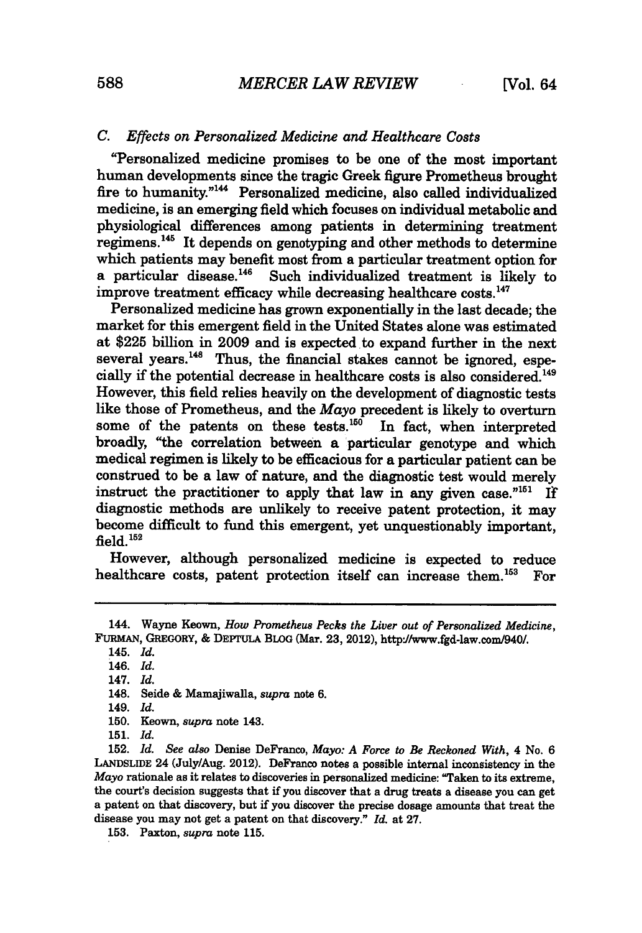#### *C. Effects on Personalized Medicine and Healthcare Costs*

"Personalized medicine promises to be one of the most important human developments since the tragic Greek figure Prometheus brought fire to humanity."<sup>144</sup> Personalized medicine, also called individualized medicine, is an emerging field which focuses on individual metabolic and physiological differences among patients in determining treatment regimens.<sup>145</sup> It depends on genotyping and other methods to determine which patients may benefit most from a particular treatment option for a particular disease. $146$  Such individualized treatment is likely to improve treatment efficacy while decreasing healthcare costs.<sup>147</sup>

Personalized medicine has grown exponentially in the last decade; the market for this emergent field in the United States alone was estimated at \$225 billion in 2009 and is expected to expand further in the next several years.<sup>148</sup> Thus, the financial stakes cannot be ignored, especially if the potential decrease in healthcare costs is also considered.<sup>149</sup> However, this field relies heavily on the development of diagnostic tests like those of Prometheus, and the *Mayo* precedent is likely to overturn some of the patents on these tests. $150$  In fact, when interpreted broadly, "the correlation between a particular genotype and which medical regimen is likely to be efficacious for a particular patient can be construed to be a law of nature, and the diagnostic test would merely instruct the practitioner to apply that law in any given case." $151$  If diagnostic methods are unlikely to receive patent protection, it may become difficult to fund this emergent, yet unquestionably important, field.<sup>152</sup>

However, although personalized medicine is expected to reduce healthcare costs, patent protection itself can increase them.<sup>153</sup> For

**153.** Paxton, *supra* note **115.**

<sup>144.</sup> Wayne Keown, *How Prometheus Pecks the Liver out of Personalized Medicine,* FURMAN, **GREGORY,** & DEPTULA BLOG (Mar. 23, 2012), httpj/www.fgd-law.com940/.

<sup>145.</sup> *Id.*

<sup>146.</sup> *Id.*

<sup>147.</sup> *Id.*

<sup>148.</sup> Seide **&** Mamajiwalla, *supra* note **6.**

<sup>149.</sup> *Id.*

<sup>150.</sup> Keown, *supra* note 143.

<sup>151.</sup> *Id.*

<sup>152.</sup> *Id. See also* Denise DeFranco, *Mayo: A Force to Be Reckoned With,* 4 No. 6 **LANDSLIDE** 24 (July/Aug. 2012). DeFranco notes a possible internal inconsistency in the *Mayo* rationale as it relates to discoveries in personalized medicine: "Taken to its extreme, the court's decision suggests that if you discover that a drug treats a disease you can get a patent on that discovery, but if you discover the precise dosage amounts that treat the disease you may not get a patent on that discovery." *Id.* at **27.**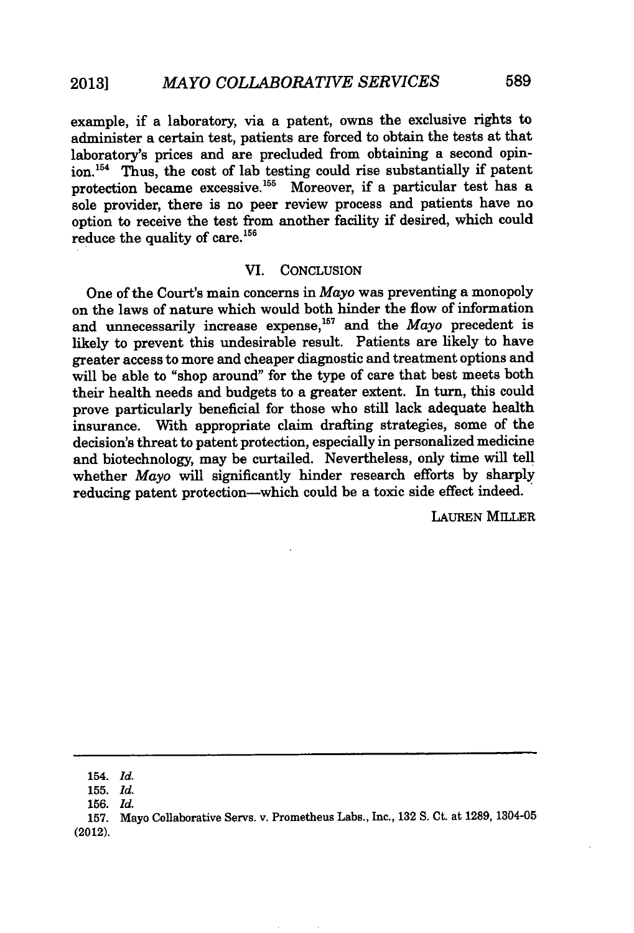example, if a laboratory, via a patent, owns the exclusive rights to administer a certain test, patients are forced to obtain the tests at that laboratory's prices and are precluded from obtaining a second opinion. 54 Thus, the cost of lab testing could rise substantially if patent protection became excessive.<sup>155</sup> Moreover, if a particular test has a sole provider, there is no peer review process and patients have no option to receive the test from another facility if desired, which could reduce the quality of care.<sup>156</sup>

#### VI. CONCLUSION

One of the Court's main concerns in *Mayo* was preventing a monopoly on the laws of nature which would both hinder the flow of information and unnecessarily increase expense,<sup>157</sup> and the *Mayo* precedent is likely to prevent this undesirable result. Patients are likely to have greater access to more and cheaper diagnostic and treatment options and will be able to "shop around" for the type of care that best meets both their health needs and budgets to a greater extent. In turn, this could prove particularly beneficial for those who still lack adequate health insurance. With appropriate claim drafting strategies, some of the decision's threat to patent protection, especially in personalized medicine and biotechnology, may be curtailed. Nevertheless, only time will tell whether *Mayo* will significantly hinder research efforts by sharply reducing patent protection-which could be a toxic side effect indeed.

LAUREN MILLER

157. Mayo Collaborative Servs. v. Prometheus Labs., Inc., 132 S. Ct. at 1289, 1304-05 (2012).

<sup>154.</sup> *Id.*

<sup>155.</sup> *Id.*

<sup>156.</sup> *Id.*